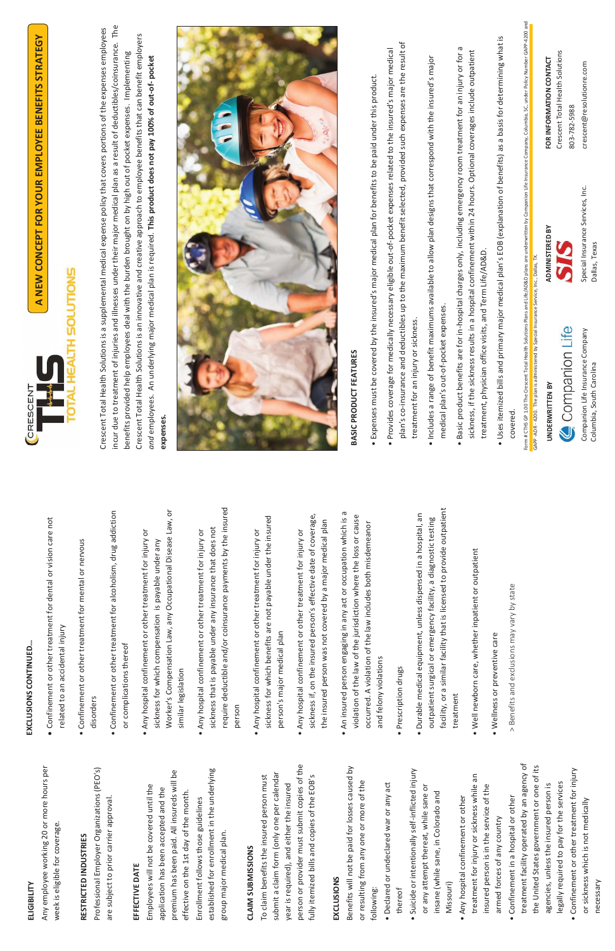incur due to treatment of injuries and illnesses under their major medical plan as a result of deductibles/coinsurance. The incur due to treatment of injuries and illnesses under their major medical plan as a result of deductibles/coinsurance. The Crescent Total Health Solutions is a supplemental medical expense policy that covers portions of the expenses employees Crescent Total Health Solutions is a supplemental medical expense policy that covers portions of the expenses employees Crescent Total Health Solutions is an innovative and creative approach to employee benefits that can benefit employers Crescent Total Health Solutions is an innovative and creative approach to employee benefits that can benefit employers benefits provided help employees deal with the burden brought on by high out of pocket expenses. Implementing benefits provided help employees deal with the burden brought on by high out of pocket expenses. Implementing *and* employees. An underlying major medical plan is required. **This product does not pay 100% of out-of- pocket**  and employees. An underlying major medical plan is required. This product does not pay 100% of out-of-pocket **expenses.**  expenses



# **BASIC PRODUCT FEATURES**  BASIC PRODUCT FEATURES

- · Expenses must be covered by the insured's major medical plan for benefits to be paid under this product. • Expenses must be covered by the insured's major medical plan for benefits to be paid under this product.
- plan's co-insurance and deductibles up to the maximum benefit selected, provided such expenses are the result of plan's co-insurance and deductibles up to the maximum benefit selected, provided such expenses are the result of • Provides coverage for medically necessary eligible out-of-pocket expenses related to the insured's major medical · Provides coverage for medically necessary eligible out-of-pocket expenses related to the insured's major medical treatment for an injury or sickness. treatment for an injury or sickness.
- Includes a range of benefit maximums available to allow plan designs that correspond with the insured's major · Includes a range of benefit maximums available to allow plan designs that correspond with the insured's major medical plan's out-of-pocket expenses. medical plan's out-of-pocket expenses.
- Basic product benefits are for in-hospital charges only, including emergency room treatment for an injury or for a · Basic product benefits are for in-hospital charges only, including emergency room treatment for an injury or for a sickness, if the sickness results in a hospital confinement within 24 hours. Optional coverages include outpatient sickness, if the sickness results in a hospital confinement within 24 hours. Optional coverages include outpatient treatment, physician office visits, and Term Life/AD&D. treatment, physician office visits, and Term Life/AD&D.
- Uses itemized bills and primary major medical plan's EOB (explanation of benefits) as a basis for determining what is · Uses itemized bills and primary major medical plan's EOB (explanation of benefits) as a basis for determining what is covered. covered.

UNDERWRITTEN BY **UNDERWRITTEN BY**



#### **ELIGIBILITY**  ELIGIBILITY

# RESTRICTED INDUSTRIES **RESTRICTED INDUSTRIES**

### EFFECTIVE DATE **EFFECTIVE DATE**

established for enrollment in the underlying established for enrollment in the underlying premium has been paid. All insureds will be premium has been paid. All insureds will be Employees will not be covered until the Employees will not be covered until the application has been accepted and the application has been accepted and the effective on the 1st day of the month. effective on the 1st day of the month. Enrollment follows those guidelines Enrollment follows those guidelines

# **CLAIM SUBMISSIONS CLAIM SUBMISSIONS**

#### **EXCLUSIONS**  EXCLUSIONS

- Declared or undeclared war or any act · Declared or undeclared war or any act thereof
- Suicide or intentionally self-inflicted injury · Suicide or intentionally self-inflicted injury or any attempt thereat, while sane or or any attempt thereat, while sane or insane (while sane, in Colorado and insane (while sane, in Colorado and Missouri)
- treatment for injury or sickness while an treatment for injury or sickness while an insured person is in the service of the insured person is in the service of the • Any hospital confinement or other . Any hospital confinement or other armed forces of any country armed forces of any country
- treatment facility operated by an agency of treatment facility operated by an agency of the United States government or one of its the United States government or one of its legally required to pay for the services legally required to pay for the services agencies, unless the insured person is agencies, unless the insured person is • Confinement in a hospital or other . Confinement in a hospital or other
	- Confinement or other treatment for injury • Confinement or other treatment for injury or sickness which is not medically or sickness which is not medically necessary necessary

Companion Life Insurance Company Companion Life Insurance Company<br>Columbia, South Carolina Columbia, South Carolina



Crescent Total Health Solutions Crescent Total Health Solutions **FOR INFORMATION CONTACT**  FOR INFORMATION CONTACT crescent@resolutionre.com crescent@resolutionre.com 803-782-5988 803-782-5988

Dallas, Texas

Dallas, Texas

## **EXCLUSIONS CONTINUED… NS CONTINUED...** EXCLUSIO

 Confinement or other treatment for dental or vision care not . Confinement or other treatment for dental or vision care not related to an accidental injury related to an accidental injury

• Confinement or other treatment for mental or nervous . Confinement or other treatment for mental or nervous

- 
- 
- disorders disorders
- 
- 
- - person
- person's
- 
- violation
- · Prescription drugs • Prescription drugs
- treatment treatment
- 
- 
- > Benefits

• Confinement or other treatment for alcoholism, drug addiction . Confinement or other treatment for alcoholism, drug addiction or complications thereof or complications thereof

Worker's Compensation Law, any Occupational Disease Law, or Worker's Compensation Law, any Occupational Disease Law, or • Any hospital confinement or other treatment for injury or . Any hospital confinement or other treatment for injury or sickness for which compensation is payable under any sickness for which compensation is payable under any similar legislation similar legislation

Form # CTHS GP 1.00 The Crescent Total Health Solutions Plans and Life/AD&D plans are underwritten by Companion Life Insurance Company, Columbia, SC, under Policy Number GAPP-4200 and Form # CTHS GP 1.00 The Crescent Total Health Solutions Plans and Life/AD&D plans are underwritten by Companion Life Insurance Company, Columbia, SC, under Policy Number GAPP-4200 and GAPP - ADR - 4200. The plan is administered by Special Insurance Service, Inc., Dallas, TX. GAPP -ADR - 4200. The plan is administered by Special Insurance Service, Inc., Dallas, TX.

require deductible and/or coinsurance payments by the insured require deductible and/or coinsurance payments by the insured sickness that is payable under any insurance that does not sickness that is payable under any insurance that does not • Any hospital confinement or other treatment for injury or . Any hospital confinement or other treatment for injury or

sickness for which benefits are not payable under the insured sickness for which benefits are not payable under the insured • Any hospital confinement or other treatment for injury or . Any hospital confinement or other treatment for injury or person's major medical plan major medical plan

Any employee working 20 or more hours per Any employee working 20 or more hours per week is eligible for coverage. week is eligible for coverage.

sickness if, on the insured person's effective date of coverage, sickness if, on the insured person's effective date of coverage, the insured person was not covered by a major medical plan the insured person was not covered by a major medical plan • Any hospital confinement or other treatment for injury or . Any hospital confinement or other treatment for injury or

Professional Employer Organizations (PEO's) Professional Employer Organizations (PEO's) are subject to prior carrier approval. are subject to prior carrier approval.

• An insured person engaging in any act or occupation which is a . An insured person engaging in any act or occupation which is a violation of the law of the jurisdiction where the loss or cause of the law of the jurisdiction where the loss or cause occurred. A violation of the law includes both misdemeanor occurred. A violation of the law includes both misdemeanor and felony violations and felony violations

facility, or a similar facility that is licensed to provide outpatient facility, or a similar facility that is licensed to provide outpatient • Durable medical equipment, unless dispensed in a hospital, an · Durable medical equipment, unless dispensed in a hospital, an outpatient surgical or emergency facility, a diagnostic testing outpatient surgical or emergency facility, a diagnostic testing

. Well newborn care, whether inpatient or outpatient • Well newborn care, whether inpatient or outpatient

or preventive care • Wellness or preventive care · Wellness

and exclusions may vary by state > Benefits and exclusions may vary by state



group major medical plan.

group major medical plan.

# **SOLUTIONS**

person or provider must submit copies of the person or provider must submit copies of the submit a claim form (only one per calendar submit a claim form (only one per calendar To claim benefits the insured person must To claim benefits the insured person must fully itemized bills and copies of the EOB's fully itemized bills and copies of the EOB's year is required), and either the insured year is required), and either the insured

Benefits will not be paid for losses caused by Benefits will not be paid for losses caused by or resulting from any one or more of the or resulting from any one or more of the following: